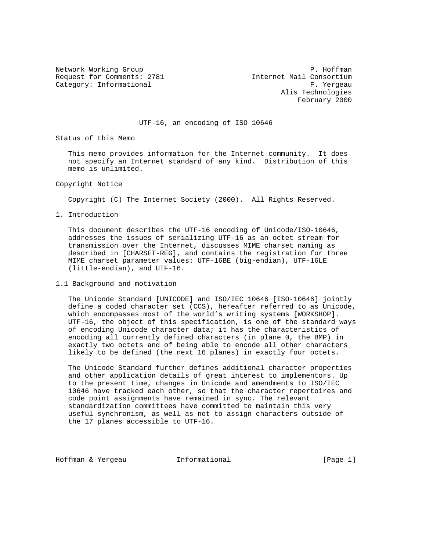Request for Comments: 2781 111 112 Internet Mail Consortium Category: Informational example of the contract of the Category: The Category: The Category: The Category: The Category: The Category: The Category: The Category: The Category: The Category: The Category: The Category: The

Network Working Group **P. Hoffman**  Alis Technologies February 2000

## UTF-16, an encoding of ISO 10646

Status of this Memo

 This memo provides information for the Internet community. It does not specify an Internet standard of any kind. Distribution of this memo is unlimited.

Copyright Notice

Copyright (C) The Internet Society (2000). All Rights Reserved.

1. Introduction

 This document describes the UTF-16 encoding of Unicode/ISO-10646, addresses the issues of serializing UTF-16 as an octet stream for transmission over the Internet, discusses MIME charset naming as described in [CHARSET-REG], and contains the registration for three MIME charset parameter values: UTF-16BE (big-endian), UTF-16LE (little-endian), and UTF-16.

1.1 Background and motivation

 The Unicode Standard [UNICODE] and ISO/IEC 10646 [ISO-10646] jointly define a coded character set (CCS), hereafter referred to as Unicode, which encompasses most of the world's writing systems [WORKSHOP]. UTF-16, the object of this specification, is one of the standard ways of encoding Unicode character data; it has the characteristics of encoding all currently defined characters (in plane 0, the BMP) in exactly two octets and of being able to encode all other characters likely to be defined (the next 16 planes) in exactly four octets.

 The Unicode Standard further defines additional character properties and other application details of great interest to implementors. Up to the present time, changes in Unicode and amendments to ISO/IEC 10646 have tracked each other, so that the character repertoires and code point assignments have remained in sync. The relevant standardization committees have committed to maintain this very useful synchronism, as well as not to assign characters outside of the 17 planes accessible to UTF-16.

Hoffman & Yergeau **Informational Informational** [Page 1]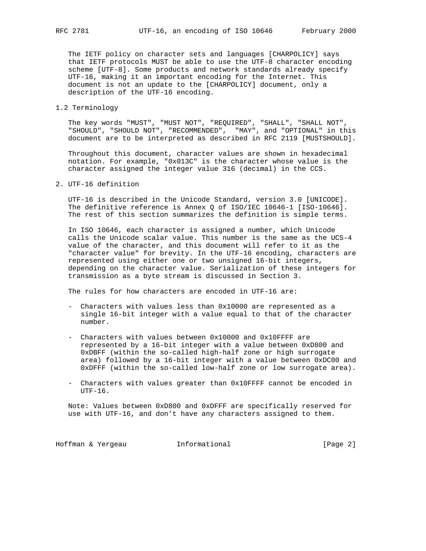The IETF policy on character sets and languages [CHARPOLICY] says that IETF protocols MUST be able to use the UTF-8 character encoding scheme [UTF-8]. Some products and network standards already specify UTF-16, making it an important encoding for the Internet. This document is not an update to the [CHARPOLICY] document, only a description of the UTF-16 encoding.

1.2 Terminology

 The key words "MUST", "MUST NOT", "REQUIRED", "SHALL", "SHALL NOT", "SHOULD", "SHOULD NOT", "RECOMMENDED", "MAY", and "OPTIONAL" in this document are to be interpreted as described in RFC 2119 [MUSTSHOULD].

 Throughout this document, character values are shown in hexadecimal notation. For example, "0x013C" is the character whose value is the character assigned the integer value 316 (decimal) in the CCS.

2. UTF-16 definition

 UTF-16 is described in the Unicode Standard, version 3.0 [UNICODE]. The definitive reference is Annex Q of ISO/IEC 10646-1 [ISO-10646]. The rest of this section summarizes the definition is simple terms.

 In ISO 10646, each character is assigned a number, which Unicode calls the Unicode scalar value. This number is the same as the UCS-4 value of the character, and this document will refer to it as the "character value" for brevity. In the UTF-16 encoding, characters are represented using either one or two unsigned 16-bit integers, depending on the character value. Serialization of these integers for transmission as a byte stream is discussed in Section 3.

The rules for how characters are encoded in UTF-16 are:

- Characters with values less than 0x10000 are represented as a single 16-bit integer with a value equal to that of the character number.
- Characters with values between 0x10000 and 0x10FFFF are represented by a 16-bit integer with a value between 0xD800 and 0xDBFF (within the so-called high-half zone or high surrogate area) followed by a 16-bit integer with a value between 0xDC00 and 0xDFFF (within the so-called low-half zone or low surrogate area).
- Characters with values greater than 0x10FFFF cannot be encoded in UTF-16.

 Note: Values between 0xD800 and 0xDFFF are specifically reserved for use with UTF-16, and don't have any characters assigned to them.

Hoffman & Yergeau **Informational Informational** [Page 2]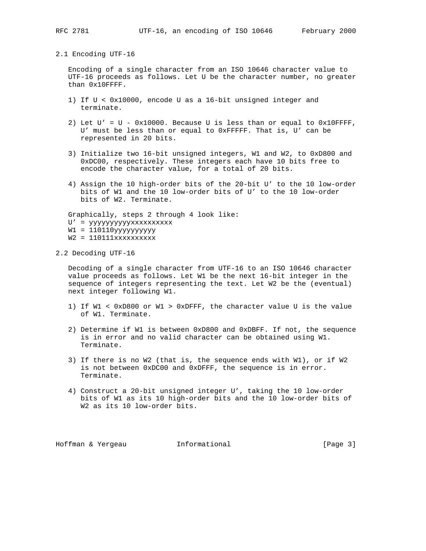### 2.1 Encoding UTF-16

 Encoding of a single character from an ISO 10646 character value to UTF-16 proceeds as follows. Let U be the character number, no greater than 0x10FFFF.

- 1) If U < 0x10000, encode U as a 16-bit unsigned integer and terminate.
- 2) Let  $U' = U 0x10000$ . Because U is less than or equal to  $0x10$ FFFF, U' must be less than or equal to 0xFFFFF. That is, U' can be represented in 20 bits.
- 3) Initialize two 16-bit unsigned integers, W1 and W2, to 0xD800 and 0xDC00, respectively. These integers each have 10 bits free to encode the character value, for a total of 20 bits.
- 4) Assign the 10 high-order bits of the 20-bit U' to the 10 low-order bits of W1 and the 10 low-order bits of U' to the 10 low-order bits of W2. Terminate.

 Graphically, steps 2 through 4 look like: U' = yyyyyyyyyyxxxxxxxxxx W1 = 110110yyyyyyyyyy W2 = 110111xxxxxxxxxx

2.2 Decoding UTF-16

 Decoding of a single character from UTF-16 to an ISO 10646 character value proceeds as follows. Let W1 be the next 16-bit integer in the sequence of integers representing the text. Let W2 be the (eventual) next integer following W1.

- 1) If W1 < 0xD800 or W1 > 0xDFFF, the character value U is the value of W1. Terminate.
- 2) Determine if W1 is between 0xD800 and 0xDBFF. If not, the sequence is in error and no valid character can be obtained using W1. Terminate.
- 3) If there is no W2 (that is, the sequence ends with W1), or if W2 is not between 0xDC00 and 0xDFFF, the sequence is in error. Terminate.
- 4) Construct a 20-bit unsigned integer U', taking the 10 low-order bits of W1 as its 10 high-order bits and the 10 low-order bits of W2 as its 10 low-order bits.

Hoffman & Yergeau **Informational Informational** [Page 3]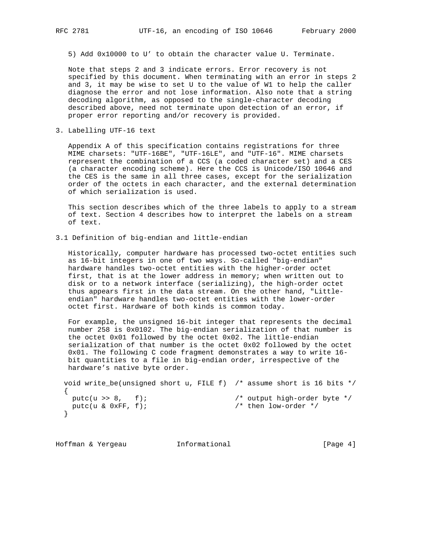5) Add 0x10000 to U' to obtain the character value U. Terminate.

 Note that steps 2 and 3 indicate errors. Error recovery is not specified by this document. When terminating with an error in steps 2 and 3, it may be wise to set U to the value of W1 to help the caller diagnose the error and not lose information. Also note that a string decoding algorithm, as opposed to the single-character decoding described above, need not terminate upon detection of an error, if proper error reporting and/or recovery is provided.

3. Labelling UTF-16 text

 Appendix A of this specification contains registrations for three MIME charsets: "UTF-16BE", "UTF-16LE", and "UTF-16". MIME charsets represent the combination of a CCS (a coded character set) and a CES (a character encoding scheme). Here the CCS is Unicode/ISO 10646 and the CES is the same in all three cases, except for the serialization order of the octets in each character, and the external determination of which serialization is used.

 This section describes which of the three labels to apply to a stream of text. Section 4 describes how to interpret the labels on a stream of text.

3.1 Definition of big-endian and little-endian

 Historically, computer hardware has processed two-octet entities such as 16-bit integers in one of two ways. So-called "big-endian" hardware handles two-octet entities with the higher-order octet first, that is at the lower address in memory; when written out to disk or to a network interface (serializing), the high-order octet thus appears first in the data stream. On the other hand, "Little endian" hardware handles two-octet entities with the lower-order octet first. Hardware of both kinds is common today.

 For example, the unsigned 16-bit integer that represents the decimal number 258 is 0x0102. The big-endian serialization of that number is the octet 0x01 followed by the octet 0x02. The little-endian serialization of that number is the octet 0x02 followed by the octet 0x01. The following C code fragment demonstrates a way to write 16 bit quantities to a file in big-endian order, irrespective of the hardware's native byte order.

```
 void write_be(unsigned short u, FILE f) /* assume short is 16 bits */
  {
putc(u >> 8, f); \qquad \qquad /* output high-order byte */
putc(u & 0xFF, f); \frac{1}{2} /* then low-order */
  }
```
Hoffman & Yergeau **Informational Informational** [Page 4]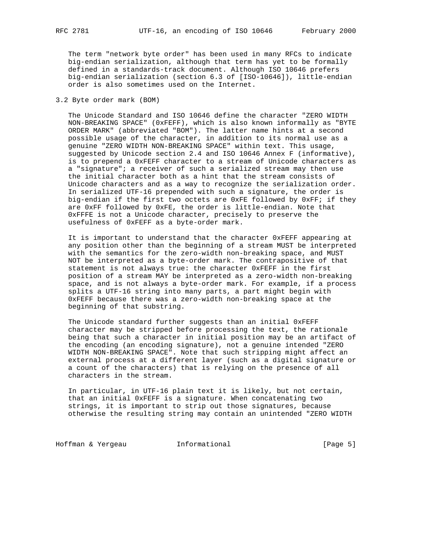The term "network byte order" has been used in many RFCs to indicate big-endian serialization, although that term has yet to be formally defined in a standards-track document. Although ISO 10646 prefers big-endian serialization (section 6.3 of [ISO-10646]), little-endian order is also sometimes used on the Internet.

# 3.2 Byte order mark (BOM)

 The Unicode Standard and ISO 10646 define the character "ZERO WIDTH NON-BREAKING SPACE" (0xFEFF), which is also known informally as "BYTE ORDER MARK" (abbreviated "BOM"). The latter name hints at a second possible usage of the character, in addition to its normal use as a genuine "ZERO WIDTH NON-BREAKING SPACE" within text. This usage, suggested by Unicode section 2.4 and ISO 10646 Annex F (informative), is to prepend a 0xFEFF character to a stream of Unicode characters as a "signature"; a receiver of such a serialized stream may then use the initial character both as a hint that the stream consists of Unicode characters and as a way to recognize the serialization order. In serialized UTF-16 prepended with such a signature, the order is big-endian if the first two octets are 0xFE followed by 0xFF; if they are 0xFF followed by 0xFE, the order is little-endian. Note that 0xFFFE is not a Unicode character, precisely to preserve the usefulness of 0xFEFF as a byte-order mark.

 It is important to understand that the character 0xFEFF appearing at any position other than the beginning of a stream MUST be interpreted with the semantics for the zero-width non-breaking space, and MUST NOT be interpreted as a byte-order mark. The contrapositive of that statement is not always true: the character 0xFEFF in the first position of a stream MAY be interpreted as a zero-width non-breaking space, and is not always a byte-order mark. For example, if a process splits a UTF-16 string into many parts, a part might begin with 0xFEFF because there was a zero-width non-breaking space at the beginning of that substring.

 The Unicode standard further suggests than an initial 0xFEFF character may be stripped before processing the text, the rationale being that such a character in initial position may be an artifact of the encoding (an encoding signature), not a genuine intended "ZERO WIDTH NON-BREAKING SPACE". Note that such stripping might affect an external process at a different layer (such as a digital signature or a count of the characters) that is relying on the presence of all characters in the stream.

 In particular, in UTF-16 plain text it is likely, but not certain, that an initial 0xFEFF is a signature. When concatenating two strings, it is important to strip out those signatures, because otherwise the resulting string may contain an unintended "ZERO WIDTH

Hoffman & Yergeau **Informational Informational** [Page 5]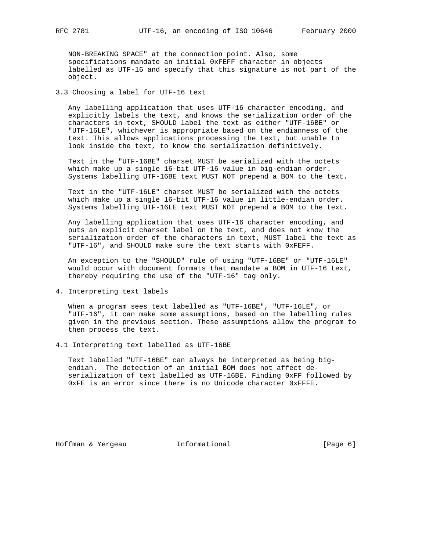NON-BREAKING SPACE" at the connection point. Also, some specifications mandate an initial 0xFEFF character in objects labelled as UTF-16 and specify that this signature is not part of the object.

3.3 Choosing a label for UTF-16 text

 Any labelling application that uses UTF-16 character encoding, and explicitly labels the text, and knows the serialization order of the characters in text, SHOULD label the text as either "UTF-16BE" or "UTF-16LE", whichever is appropriate based on the endianness of the text. This allows applications processing the text, but unable to look inside the text, to know the serialization definitively.

 Text in the "UTF-16BE" charset MUST be serialized with the octets which make up a single 16-bit UTF-16 value in big-endian order. Systems labelling UTF-16BE text MUST NOT prepend a BOM to the text.

 Text in the "UTF-16LE" charset MUST be serialized with the octets which make up a single 16-bit UTF-16 value in little-endian order. Systems labelling UTF-16LE text MUST NOT prepend a BOM to the text.

 Any labelling application that uses UTF-16 character encoding, and puts an explicit charset label on the text, and does not know the serialization order of the characters in text, MUST label the text as "UTF-16", and SHOULD make sure the text starts with 0xFEFF.

 An exception to the "SHOULD" rule of using "UTF-16BE" or "UTF-16LE" would occur with document formats that mandate a BOM in UTF-16 text, thereby requiring the use of the "UTF-16" tag only.

4. Interpreting text labels

 When a program sees text labelled as "UTF-16BE", "UTF-16LE", or "UTF-16", it can make some assumptions, based on the labelling rules given in the previous section. These assumptions allow the program to then process the text.

4.1 Interpreting text labelled as UTF-16BE

 Text labelled "UTF-16BE" can always be interpreted as being big endian. The detection of an initial BOM does not affect de serialization of text labelled as UTF-16BE. Finding 0xFF followed by 0xFE is an error since there is no Unicode character 0xFFFE.

Hoffman & Yergeau **Informational** [Page 6]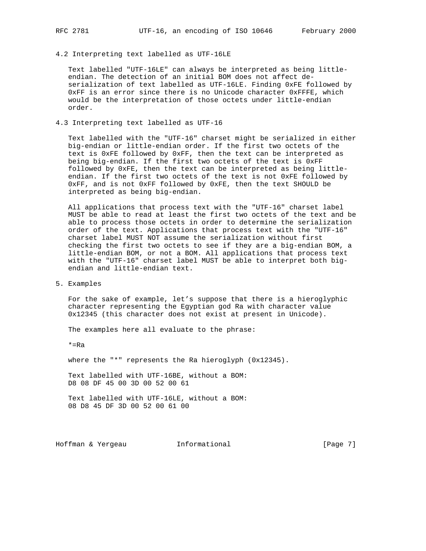4.2 Interpreting text labelled as UTF-16LE

 Text labelled "UTF-16LE" can always be interpreted as being little endian. The detection of an initial BOM does not affect de serialization of text labelled as UTF-16LE. Finding 0xFE followed by 0xFF is an error since there is no Unicode character 0xFFFE, which would be the interpretation of those octets under little-endian order.

# 4.3 Interpreting text labelled as UTF-16

 Text labelled with the "UTF-16" charset might be serialized in either big-endian or little-endian order. If the first two octets of the text is 0xFE followed by 0xFF, then the text can be interpreted as being big-endian. If the first two octets of the text is 0xFF followed by 0xFE, then the text can be interpreted as being little endian. If the first two octets of the text is not 0xFE followed by 0xFF, and is not 0xFF followed by 0xFE, then the text SHOULD be interpreted as being big-endian.

 All applications that process text with the "UTF-16" charset label MUST be able to read at least the first two octets of the text and be able to process those octets in order to determine the serialization order of the text. Applications that process text with the "UTF-16" charset label MUST NOT assume the serialization without first checking the first two octets to see if they are a big-endian BOM, a little-endian BOM, or not a BOM. All applications that process text with the "UTF-16" charset label MUST be able to interpret both big endian and little-endian text.

5. Examples

 For the sake of example, let's suppose that there is a hieroglyphic character representing the Egyptian god Ra with character value 0x12345 (this character does not exist at present in Unicode).

The examples here all evaluate to the phrase:

\*=Ra

where the "\*" represents the Ra hieroglyph (0x12345).

 Text labelled with UTF-16BE, without a BOM: D8 08 DF 45 00 3D 00 52 00 61

 Text labelled with UTF-16LE, without a BOM: 08 D8 45 DF 3D 00 52 00 61 00

Hoffman & Yergeau **Informational Informational** [Page 7]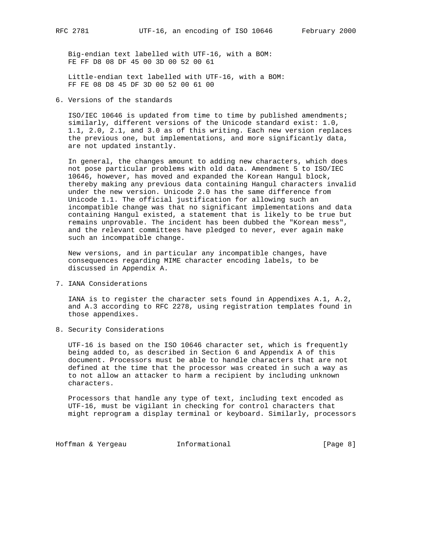Big-endian text labelled with UTF-16, with a BOM: FE FF D8 08 DF 45 00 3D 00 52 00 61

 Little-endian text labelled with UTF-16, with a BOM: FF FE 08 D8 45 DF 3D 00 52 00 61 00

6. Versions of the standards

 ISO/IEC 10646 is updated from time to time by published amendments; similarly, different versions of the Unicode standard exist: 1.0, 1.1, 2.0, 2.1, and 3.0 as of this writing. Each new version replaces the previous one, but implementations, and more significantly data, are not updated instantly.

 In general, the changes amount to adding new characters, which does not pose particular problems with old data. Amendment 5 to ISO/IEC 10646, however, has moved and expanded the Korean Hangul block, thereby making any previous data containing Hangul characters invalid under the new version. Unicode 2.0 has the same difference from Unicode 1.1. The official justification for allowing such an incompatible change was that no significant implementations and data containing Hangul existed, a statement that is likely to be true but remains unprovable. The incident has been dubbed the "Korean mess", and the relevant committees have pledged to never, ever again make such an incompatible change.

 New versions, and in particular any incompatible changes, have consequences regarding MIME character encoding labels, to be discussed in Appendix A.

7. IANA Considerations

 IANA is to register the character sets found in Appendixes A.1, A.2, and A.3 according to RFC 2278, using registration templates found in those appendixes.

8. Security Considerations

 UTF-16 is based on the ISO 10646 character set, which is frequently being added to, as described in Section 6 and Appendix A of this document. Processors must be able to handle characters that are not defined at the time that the processor was created in such a way as to not allow an attacker to harm a recipient by including unknown characters.

 Processors that handle any type of text, including text encoded as UTF-16, must be vigilant in checking for control characters that might reprogram a display terminal or keyboard. Similarly, processors

Hoffman & Yergeau **Informational Informational** [Page 8]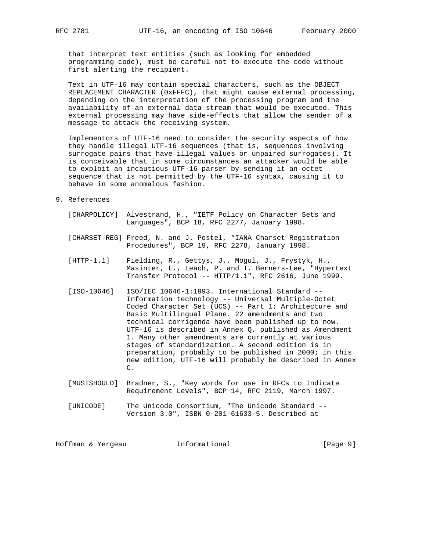that interpret text entities (such as looking for embedded programming code), must be careful not to execute the code without first alerting the recipient.

 Text in UTF-16 may contain special characters, such as the OBJECT REPLACEMENT CHARACTER (0xFFFC), that might cause external processing, depending on the interpretation of the processing program and the availability of an external data stream that would be executed. This external processing may have side-effects that allow the sender of a message to attack the receiving system.

 Implementors of UTF-16 need to consider the security aspects of how they handle illegal UTF-16 sequences (that is, sequences involving surrogate pairs that have illegal values or unpaired surrogates). It is conceivable that in some circumstances an attacker would be able to exploit an incautious UTF-16 parser by sending it an octet sequence that is not permitted by the UTF-16 syntax, causing it to behave in some anomalous fashion.

- 9. References
	- [CHARPOLICY] Alvestrand, H., "IETF Policy on Character Sets and Languages", BCP 18, RFC 2277, January 1998.
	- [CHARSET-REG] Freed, N. and J. Postel, "IANA Charset Registration Procedures", BCP 19, RFC 2278, January 1998.
	- [HTTP-1.1] Fielding, R., Gettys, J., Mogul, J., Frystyk, H., Masinter, L., Leach, P. and T. Berners-Lee, "Hypertext Transfer Protocol -- HTTP/1.1", RFC 2616, June 1999.
- [ISO-10646] ISO/IEC 10646-1:1993. International Standard -- Information technology -- Universal Multiple-Octet Coded Character Set (UCS) -- Part 1: Architecture and Basic Multilingual Plane. 22 amendments and two technical corrigenda have been published up to now. UTF-16 is described in Annex Q, published as Amendment 1. Many other amendments are currently at various stages of standardization. A second edition is in preparation, probably to be published in 2000; in this new edition, UTF-16 will probably be described in Annex **C. C.** 
	- [MUSTSHOULD] Bradner, S., "Key words for use in RFCs to Indicate Requirement Levels", BCP 14, RFC 2119, March 1997.
	- [UNICODE] The Unicode Consortium, "The Unicode Standard -- Version 3.0", ISBN 0-201-61633-5. Described at

Hoffman & Yergeau **Informational Informational** [Page 9]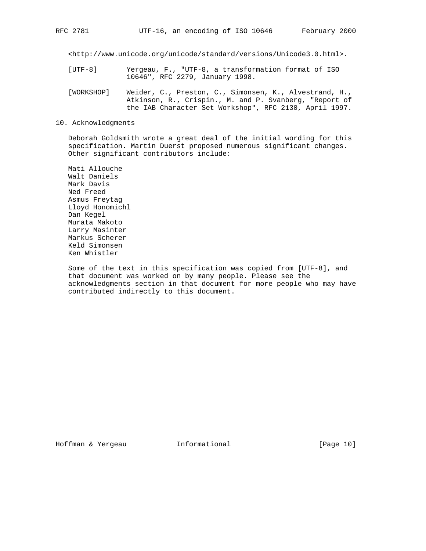<http://www.unicode.org/unicode/standard/versions/Unicode3.0.html>.

- [UTF-8] Yergeau, F., "UTF-8, a transformation format of ISO 10646", RFC 2279, January 1998.
- [WORKSHOP] Weider, C., Preston, C., Simonsen, K., Alvestrand, H., Atkinson, R., Crispin., M. and P. Svanberg, "Report of the IAB Character Set Workshop", RFC 2130, April 1997.
- 10. Acknowledgments

 Deborah Goldsmith wrote a great deal of the initial wording for this specification. Martin Duerst proposed numerous significant changes. Other significant contributors include:

 Mati Allouche Walt Daniels Mark Davis Ned Freed Asmus Freytag Lloyd Honomichl Dan Kegel Murata Makoto Larry Masinter Markus Scherer Keld Simonsen Ken Whistler

 Some of the text in this specification was copied from [UTF-8], and that document was worked on by many people. Please see the acknowledgments section in that document for more people who may have contributed indirectly to this document.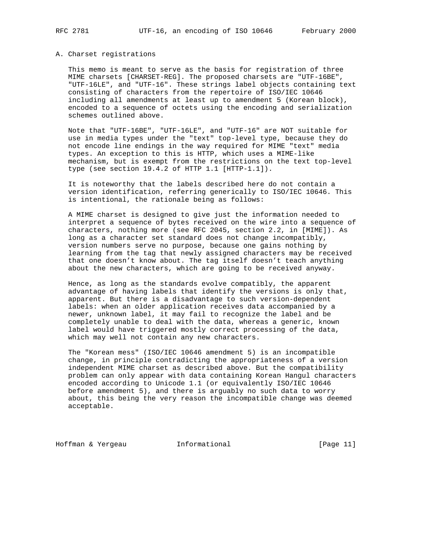### A. Charset registrations

 This memo is meant to serve as the basis for registration of three MIME charsets [CHARSET-REG]. The proposed charsets are "UTF-16BE", "UTF-16LE", and "UTF-16". These strings label objects containing text consisting of characters from the repertoire of ISO/IEC 10646 including all amendments at least up to amendment 5 (Korean block), encoded to a sequence of octets using the encoding and serialization schemes outlined above.

 Note that "UTF-16BE", "UTF-16LE", and "UTF-16" are NOT suitable for use in media types under the "text" top-level type, because they do not encode line endings in the way required for MIME "text" media types. An exception to this is HTTP, which uses a MIME-like mechanism, but is exempt from the restrictions on the text top-level type (see section 19.4.2 of HTTP 1.1 [HTTP-1.1]).

 It is noteworthy that the labels described here do not contain a version identification, referring generically to ISO/IEC 10646. This is intentional, the rationale being as follows:

 A MIME charset is designed to give just the information needed to interpret a sequence of bytes received on the wire into a sequence of characters, nothing more (see RFC 2045, section 2.2, in [MIME]). As long as a character set standard does not change incompatibly, version numbers serve no purpose, because one gains nothing by learning from the tag that newly assigned characters may be received that one doesn't know about. The tag itself doesn't teach anything about the new characters, which are going to be received anyway.

 Hence, as long as the standards evolve compatibly, the apparent advantage of having labels that identify the versions is only that, apparent. But there is a disadvantage to such version-dependent labels: when an older application receives data accompanied by a newer, unknown label, it may fail to recognize the label and be completely unable to deal with the data, whereas a generic, known label would have triggered mostly correct processing of the data, which may well not contain any new characters.

 The "Korean mess" (ISO/IEC 10646 amendment 5) is an incompatible change, in principle contradicting the appropriateness of a version independent MIME charset as described above. But the compatibility problem can only appear with data containing Korean Hangul characters encoded according to Unicode 1.1 (or equivalently ISO/IEC 10646 before amendment 5), and there is arguably no such data to worry about, this being the very reason the incompatible change was deemed acceptable.

Hoffman & Yergeau **Informational** [Page 11]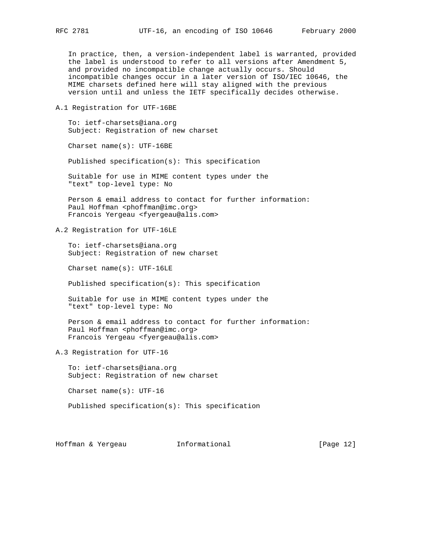In practice, then, a version-independent label is warranted, provided the label is understood to refer to all versions after Amendment 5, and provided no incompatible change actually occurs. Should incompatible changes occur in a later version of ISO/IEC 10646, the MIME charsets defined here will stay aligned with the previous version until and unless the IETF specifically decides otherwise.

A.1 Registration for UTF-16BE

 To: ietf-charsets@iana.org Subject: Registration of new charset

Charset name(s): UTF-16BE

Published specification(s): This specification

 Suitable for use in MIME content types under the "text" top-level type: No

 Person & email address to contact for further information: Paul Hoffman <phoffman@imc.org> Francois Yergeau <fyergeau@alis.com>

A.2 Registration for UTF-16LE

 To: ietf-charsets@iana.org Subject: Registration of new charset

Charset name(s): UTF-16LE

Published specification(s): This specification

 Suitable for use in MIME content types under the "text" top-level type: No

 Person & email address to contact for further information: Paul Hoffman <phoffman@imc.org> Francois Yergeau <fyergeau@alis.com>

A.3 Registration for UTF-16

 To: ietf-charsets@iana.org Subject: Registration of new charset

Charset name(s): UTF-16

Published specification(s): This specification

Hoffman & Yergeau Informational [Page 12]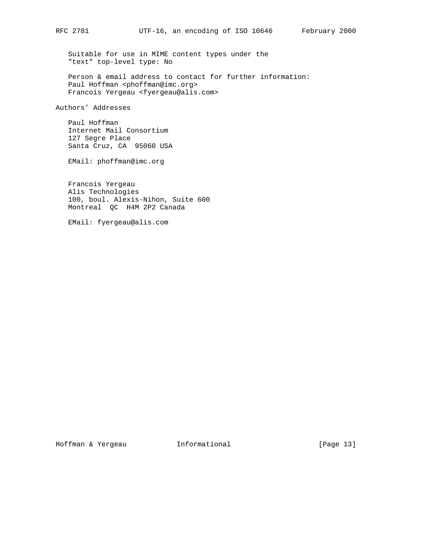Suitable for use in MIME content types under the "text" top-level type: No

 Person & email address to contact for further information: Paul Hoffman <phoffman@imc.org> Francois Yergeau <fyergeau@alis.com>

Authors' Addresses

 Paul Hoffman Internet Mail Consortium 127 Segre Place Santa Cruz, CA 95060 USA

EMail: phoffman@imc.org

 Francois Yergeau Alis Technologies 100, boul. Alexis-Nihon, Suite 600 Montreal QC H4M 2P2 Canada

EMail: fyergeau@alis.com